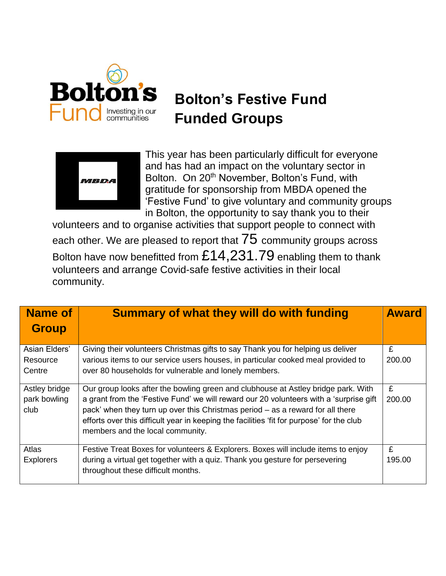

## **Bolton's Festive Fund Funded Groups**



This year has been particularly difficult for everyone and has had an impact on the voluntary sector in Bolton. On 20<sup>th</sup> November, Bolton's Fund, with gratitude for sponsorship from MBDA opened the 'Festive Fund' to give voluntary and community groups in Bolton, the opportunity to say thank you to their

volunteers and to organise activities that support people to connect with each other. We are pleased to report that  $75$  community groups across Bolton have now benefitted from £14,231.79 enabling them to thank volunteers and arrange Covid-safe festive activities in their local community.

| <b>Name of</b>                        | <b>Summary of what they will do with funding</b>                                                                                                                                                                                                                                                                                                                                               | <b>Award</b> |
|---------------------------------------|------------------------------------------------------------------------------------------------------------------------------------------------------------------------------------------------------------------------------------------------------------------------------------------------------------------------------------------------------------------------------------------------|--------------|
| <b>Group</b>                          |                                                                                                                                                                                                                                                                                                                                                                                                |              |
| Asian Elders'<br>Resource<br>Centre   | Giving their volunteers Christmas gifts to say Thank you for helping us deliver<br>various items to our service users houses, in particular cooked meal provided to<br>over 80 households for vulnerable and lonely members.                                                                                                                                                                   | £<br>200.00  |
| Astley bridge<br>park bowling<br>club | Our group looks after the bowling green and clubhouse at Astley bridge park. With<br>a grant from the 'Festive Fund' we will reward our 20 volunteers with a 'surprise gift<br>pack' when they turn up over this Christmas period - as a reward for all there<br>efforts over this difficult year in keeping the facilities 'fit for purpose' for the club<br>members and the local community. | £<br>200.00  |
| Atlas<br><b>Explorers</b>             | Festive Treat Boxes for volunteers & Explorers. Boxes will include items to enjoy<br>during a virtual get together with a quiz. Thank you gesture for persevering<br>throughout these difficult months.                                                                                                                                                                                        | £<br>195.00  |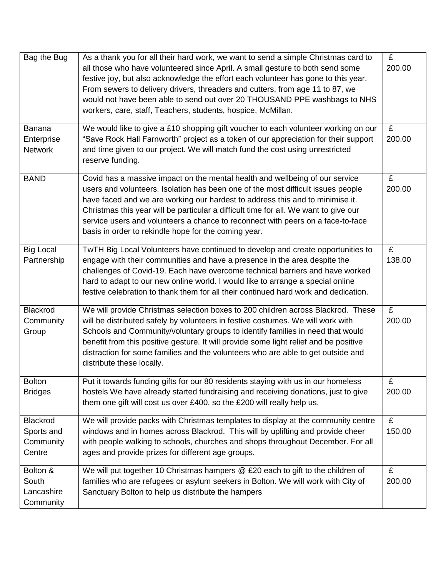| Bag the Bug                                   | As a thank you for all their hard work, we want to send a simple Christmas card to<br>all those who have volunteered since April. A small gesture to both send some<br>festive joy, but also acknowledge the effort each volunteer has gone to this year.<br>From sewers to delivery drivers, threaders and cutters, from age 11 to 87, we<br>would not have been able to send out over 20 THOUSAND PPE washbags to NHS<br>workers, care, staff, Teachers, students, hospice, McMillan. | £<br>200.00 |
|-----------------------------------------------|-----------------------------------------------------------------------------------------------------------------------------------------------------------------------------------------------------------------------------------------------------------------------------------------------------------------------------------------------------------------------------------------------------------------------------------------------------------------------------------------|-------------|
| <b>Banana</b><br>Enterprise<br><b>Network</b> | We would like to give a £10 shopping gift voucher to each volunteer working on our<br>"Save Rock Hall Farnworth" project as a token of our appreciation for their support<br>and time given to our project. We will match fund the cost using unrestricted<br>reserve funding.                                                                                                                                                                                                          | £<br>200.00 |
| <b>BAND</b>                                   | Covid has a massive impact on the mental health and wellbeing of our service<br>users and volunteers. Isolation has been one of the most difficult issues people<br>have faced and we are working our hardest to address this and to minimise it.<br>Christmas this year will be particular a difficult time for all. We want to give our<br>service users and volunteers a chance to reconnect with peers on a face-to-face<br>basis in order to rekindle hope for the coming year.    | £<br>200.00 |
| <b>Big Local</b><br>Partnership               | TwTH Big Local Volunteers have continued to develop and create opportunities to<br>engage with their communities and have a presence in the area despite the<br>challenges of Covid-19. Each have overcome technical barriers and have worked<br>hard to adapt to our new online world. I would like to arrange a special online<br>festive celebration to thank them for all their continued hard work and dedication.                                                                 | £<br>138.00 |
| Blackrod<br>Community<br>Group                | We will provide Christmas selection boxes to 200 children across Blackrod. These<br>will be distributed safely by volunteers in festive costumes. We will work with<br>Schools and Community/voluntary groups to identify families in need that would<br>benefit from this positive gesture. It will provide some light relief and be positive<br>distraction for some families and the volunteers who are able to get outside and<br>distribute these locally.                         | £<br>200.00 |
| <b>Bolton</b><br><b>Bridges</b>               | Put it towards funding gifts for our 80 residents staying with us in our homeless<br>hostels We have already started fundraising and receiving donations, just to give<br>them one gift will cost us over £400, so the £200 will really help us.                                                                                                                                                                                                                                        | £<br>200.00 |
| Blackrod<br>Sports and<br>Community<br>Centre | We will provide packs with Christmas templates to display at the community centre<br>windows and in homes across Blackrod. This will by uplifting and provide cheer<br>with people walking to schools, churches and shops throughout December. For all<br>ages and provide prizes for different age groups.                                                                                                                                                                             | £<br>150.00 |
| Bolton &<br>South<br>Lancashire<br>Community  | We will put together 10 Christmas hampers @ £20 each to gift to the children of<br>families who are refugees or asylum seekers in Bolton. We will work with City of<br>Sanctuary Bolton to help us distribute the hampers                                                                                                                                                                                                                                                               | £<br>200.00 |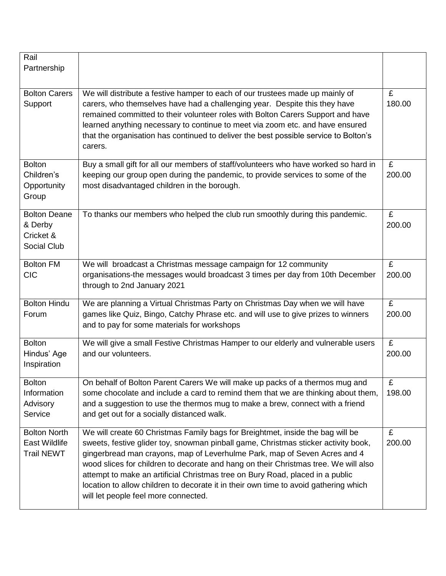| Rail                                                             |                                                                                                                                                                                                                                                                                                                                                                                                                                                                                                                                                           |             |
|------------------------------------------------------------------|-----------------------------------------------------------------------------------------------------------------------------------------------------------------------------------------------------------------------------------------------------------------------------------------------------------------------------------------------------------------------------------------------------------------------------------------------------------------------------------------------------------------------------------------------------------|-------------|
| Partnership                                                      |                                                                                                                                                                                                                                                                                                                                                                                                                                                                                                                                                           |             |
| <b>Bolton Carers</b><br>Support                                  | We will distribute a festive hamper to each of our trustees made up mainly of<br>carers, who themselves have had a challenging year. Despite this they have<br>remained committed to their volunteer roles with Bolton Carers Support and have<br>learned anything necessary to continue to meet via zoom etc. and have ensured<br>that the organisation has continued to deliver the best possible service to Bolton's<br>carers.                                                                                                                        | £<br>180.00 |
| <b>Bolton</b><br>Children's<br>Opportunity<br>Group              | Buy a small gift for all our members of staff/volunteers who have worked so hard in<br>keeping our group open during the pandemic, to provide services to some of the<br>most disadvantaged children in the borough.                                                                                                                                                                                                                                                                                                                                      | £<br>200.00 |
| <b>Bolton Deane</b><br>& Derby<br>Cricket &<br>Social Club       | To thanks our members who helped the club run smoothly during this pandemic.                                                                                                                                                                                                                                                                                                                                                                                                                                                                              | £<br>200.00 |
| <b>Bolton FM</b><br><b>CIC</b>                                   | We will broadcast a Christmas message campaign for 12 community<br>organisations-the messages would broadcast 3 times per day from 10th December<br>through to 2nd January 2021                                                                                                                                                                                                                                                                                                                                                                           | £<br>200.00 |
| <b>Bolton Hindu</b><br>Forum                                     | We are planning a Virtual Christmas Party on Christmas Day when we will have<br>games like Quiz, Bingo, Catchy Phrase etc. and will use to give prizes to winners<br>and to pay for some materials for workshops                                                                                                                                                                                                                                                                                                                                          | £<br>200.00 |
| <b>Bolton</b><br>Hindus' Age<br>Inspiration                      | We will give a small Festive Christmas Hamper to our elderly and vulnerable users<br>and our volunteers.                                                                                                                                                                                                                                                                                                                                                                                                                                                  | £<br>200.00 |
| <b>Bolton</b><br>Information<br>Advisory<br>Service              | On behalf of Bolton Parent Carers We will make up packs of a thermos mug and<br>some chocolate and include a card to remind them that we are thinking about them,<br>and a suggestion to use the thermos mug to make a brew, connect with a friend<br>and get out for a socially distanced walk.                                                                                                                                                                                                                                                          | £<br>198.00 |
| <b>Bolton North</b><br><b>East Wildlife</b><br><b>Trail NEWT</b> | We will create 60 Christmas Family bags for Breightmet, inside the bag will be<br>sweets, festive glider toy, snowman pinball game, Christmas sticker activity book,<br>gingerbread man crayons, map of Leverhulme Park, map of Seven Acres and 4<br>wood slices for children to decorate and hang on their Christmas tree. We will also<br>attempt to make an artificial Christmas tree on Bury Road, placed in a public<br>location to allow children to decorate it in their own time to avoid gathering which<br>will let people feel more connected. | £<br>200.00 |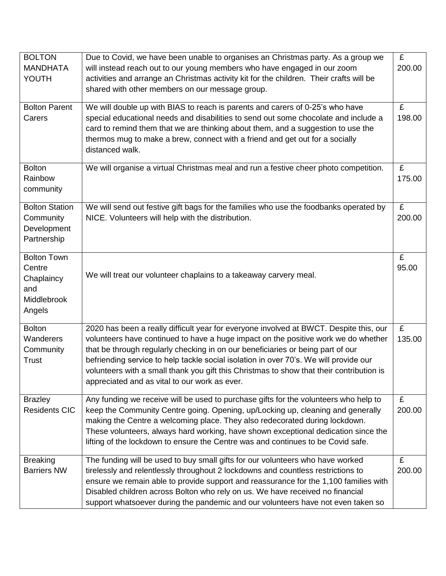| <b>BOLTON</b><br><b>MANDHATA</b><br>YOUTH                                  | Due to Covid, we have been unable to organises an Christmas party. As a group we<br>will instead reach out to our young members who have engaged in our zoom<br>activities and arrange an Christmas activity kit for the children. Their crafts will be<br>shared with other members on our message group.                                                                                                                                                                                            | $\overline{f}$<br>200.00 |
|----------------------------------------------------------------------------|-------------------------------------------------------------------------------------------------------------------------------------------------------------------------------------------------------------------------------------------------------------------------------------------------------------------------------------------------------------------------------------------------------------------------------------------------------------------------------------------------------|--------------------------|
| <b>Bolton Parent</b><br>Carers                                             | We will double up with BIAS to reach is parents and carers of 0-25's who have<br>special educational needs and disabilities to send out some chocolate and include a<br>card to remind them that we are thinking about them, and a suggestion to use the<br>thermos mug to make a brew, connect with a friend and get out for a socially<br>distanced walk.                                                                                                                                           | £<br>198.00              |
| <b>Bolton</b><br>Rainbow<br>community                                      | We will organise a virtual Christmas meal and run a festive cheer photo competition.                                                                                                                                                                                                                                                                                                                                                                                                                  | £<br>175.00              |
| <b>Bolton Station</b><br>Community<br>Development<br>Partnership           | We will send out festive gift bags for the families who use the foodbanks operated by<br>NICE. Volunteers will help with the distribution.                                                                                                                                                                                                                                                                                                                                                            | £<br>200.00              |
| <b>Bolton Town</b><br>Centre<br>Chaplaincy<br>and<br>Middlebrook<br>Angels | We will treat our volunteer chaplains to a takeaway carvery meal.                                                                                                                                                                                                                                                                                                                                                                                                                                     | £<br>95.00               |
| <b>Bolton</b><br>Wanderers<br>Community<br><b>Trust</b>                    | 2020 has been a really difficult year for everyone involved at BWCT. Despite this, our<br>volunteers have continued to have a huge impact on the positive work we do whether<br>that be through regularly checking in on our beneficiaries or being part of our<br>befriending service to help tackle social isolation in over 70's. We will provide our<br>volunteers with a small thank you gift this Christmas to show that their contribution is<br>appreciated and as vital to our work as ever. | £<br>135.00              |
| <b>Brazley</b><br><b>Residents CIC</b>                                     | Any funding we receive will be used to purchase gifts for the volunteers who help to<br>keep the Community Centre going. Opening, up/Locking up, cleaning and generally<br>making the Centre a welcoming place. They also redecorated during lockdown.<br>These volunteers, always hard working, have shown exceptional dedication since the<br>lifting of the lockdown to ensure the Centre was and continues to be Covid safe.                                                                      | £<br>200.00              |
| <b>Breaking</b><br><b>Barriers NW</b>                                      | The funding will be used to buy small gifts for our volunteers who have worked<br>tirelessly and relentlessly throughout 2 lockdowns and countless restrictions to<br>ensure we remain able to provide support and reassurance for the 1,100 families with<br>Disabled children across Bolton who rely on us. We have received no financial<br>support whatsoever during the pandemic and our volunteers have not even taken so                                                                       | £<br>200.00              |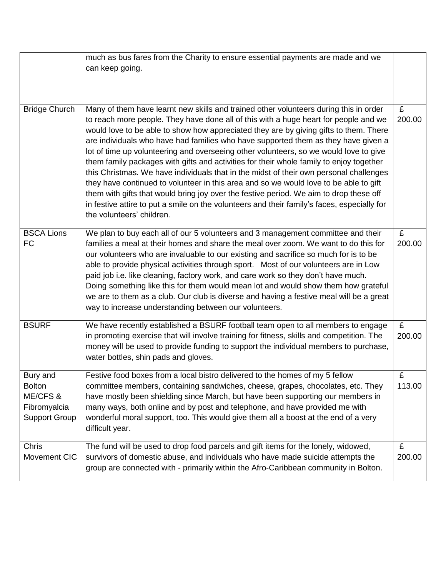|                                                                               | much as bus fares from the Charity to ensure essential payments are made and we<br>can keep going.                                                                                                                                                                                                                                                                                                                                                                                                                                                                                                                                                                                                                                                                                                                                                                                                                                                        |             |
|-------------------------------------------------------------------------------|-----------------------------------------------------------------------------------------------------------------------------------------------------------------------------------------------------------------------------------------------------------------------------------------------------------------------------------------------------------------------------------------------------------------------------------------------------------------------------------------------------------------------------------------------------------------------------------------------------------------------------------------------------------------------------------------------------------------------------------------------------------------------------------------------------------------------------------------------------------------------------------------------------------------------------------------------------------|-------------|
| <b>Bridge Church</b>                                                          | Many of them have learnt new skills and trained other volunteers during this in order<br>to reach more people. They have done all of this with a huge heart for people and we<br>would love to be able to show how appreciated they are by giving gifts to them. There<br>are individuals who have had families who have supported them as they have given a<br>lot of time up volunteering and overseeing other volunteers, so we would love to give<br>them family packages with gifts and activities for their whole family to enjoy together<br>this Christmas. We have individuals that in the midst of their own personal challenges<br>they have continued to volunteer in this area and so we would love to be able to gift<br>them with gifts that would bring joy over the festive period. We aim to drop these off<br>in festive attire to put a smile on the volunteers and their family's faces, especially for<br>the volunteers' children. | £<br>200.00 |
| <b>BSCA Lions</b><br><b>FC</b>                                                | We plan to buy each all of our 5 volunteers and 3 management committee and their<br>families a meal at their homes and share the meal over zoom. We want to do this for<br>our volunteers who are invaluable to our existing and sacrifice so much for is to be<br>able to provide physical activities through sport. Most of our volunteers are in Low<br>paid job i.e. like cleaning, factory work, and care work so they don't have much.<br>Doing something like this for them would mean lot and would show them how grateful<br>we are to them as a club. Our club is diverse and having a festive meal will be a great<br>way to increase understanding between our volunteers.                                                                                                                                                                                                                                                                    | £<br>200.00 |
| <b>BSURF</b>                                                                  | We have recently established a BSURF football team open to all members to engage<br>in promoting exercise that will involve training for fitness, skills and competition. The<br>money will be used to provide funding to support the individual members to purchase,<br>water bottles, shin pads and gloves.                                                                                                                                                                                                                                                                                                                                                                                                                                                                                                                                                                                                                                             | £<br>200.00 |
| Bury and<br><b>Bolton</b><br>ME/CFS &<br>Fibromyalcia<br><b>Support Group</b> | Festive food boxes from a local bistro delivered to the homes of my 5 fellow<br>committee members, containing sandwiches, cheese, grapes, chocolates, etc. They<br>have mostly been shielding since March, but have been supporting our members in<br>many ways, both online and by post and telephone, and have provided me with<br>wonderful moral support, too. This would give them all a boost at the end of a very<br>difficult year.                                                                                                                                                                                                                                                                                                                                                                                                                                                                                                               | £<br>113.00 |
| <b>Chris</b><br>Movement CIC                                                  | The fund will be used to drop food parcels and gift items for the lonely, widowed,<br>survivors of domestic abuse, and individuals who have made suicide attempts the<br>group are connected with - primarily within the Afro-Caribbean community in Bolton.                                                                                                                                                                                                                                                                                                                                                                                                                                                                                                                                                                                                                                                                                              | £<br>200.00 |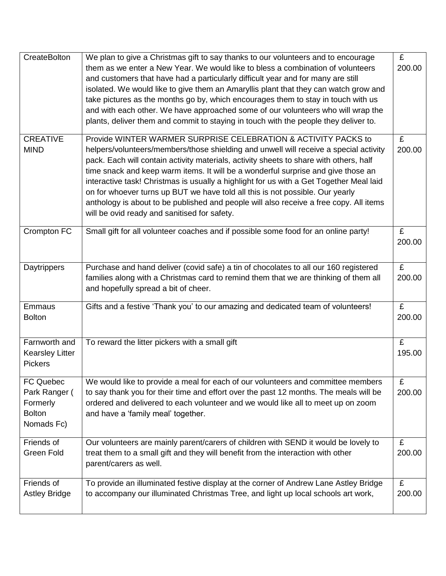| CreateBolton                                                          | We plan to give a Christmas gift to say thanks to our volunteers and to encourage<br>them as we enter a New Year. We would like to bless a combination of volunteers<br>and customers that have had a particularly difficult year and for many are still<br>isolated. We would like to give them an Amaryllis plant that they can watch grow and<br>take pictures as the months go by, which encourages them to stay in touch with us<br>and with each other. We have approached some of our volunteers who will wrap the<br>plants, deliver them and commit to staying in touch with the people they deliver to.                                            | $\overline{f}$<br>200.00 |
|-----------------------------------------------------------------------|--------------------------------------------------------------------------------------------------------------------------------------------------------------------------------------------------------------------------------------------------------------------------------------------------------------------------------------------------------------------------------------------------------------------------------------------------------------------------------------------------------------------------------------------------------------------------------------------------------------------------------------------------------------|--------------------------|
| <b>CREATIVE</b><br><b>MIND</b>                                        | Provide WINTER WARMER SURPRISE CELEBRATION & ACTIVITY PACKS to<br>helpers/volunteers/members/those shielding and unwell will receive a special activity<br>pack. Each will contain activity materials, activity sheets to share with others, half<br>time snack and keep warm items. It will be a wonderful surprise and give those an<br>interactive task! Christmas is usually a highlight for us with a Get Together Meal laid<br>on for whoever turns up BUT we have told all this is not possible. Our yearly<br>anthology is about to be published and people will also receive a free copy. All items<br>will be ovid ready and sanitised for safety. | £<br>200.00              |
| Crompton FC                                                           | Small gift for all volunteer coaches and if possible some food for an online party!                                                                                                                                                                                                                                                                                                                                                                                                                                                                                                                                                                          | £<br>200.00              |
| Daytrippers                                                           | Purchase and hand deliver (covid safe) a tin of chocolates to all our 160 registered<br>families along with a Christmas card to remind them that we are thinking of them all<br>and hopefully spread a bit of cheer.                                                                                                                                                                                                                                                                                                                                                                                                                                         | £<br>200.00              |
| Emmaus<br><b>Bolton</b>                                               | Gifts and a festive 'Thank you' to our amazing and dedicated team of volunteers!                                                                                                                                                                                                                                                                                                                                                                                                                                                                                                                                                                             | £<br>200.00              |
| Farnworth and<br><b>Kearsley Litter</b><br><b>Pickers</b>             | To reward the litter pickers with a small gift                                                                                                                                                                                                                                                                                                                                                                                                                                                                                                                                                                                                               | £<br>195.00              |
| FC Quebec<br>Park Ranger (<br>Formerly<br><b>Bolton</b><br>Nomads Fc) | We would like to provide a meal for each of our volunteers and committee members<br>to say thank you for their time and effort over the past 12 months. The meals will be<br>ordered and delivered to each volunteer and we would like all to meet up on zoom<br>and have a 'family meal' together.                                                                                                                                                                                                                                                                                                                                                          | £<br>200.00              |
| Friends of<br><b>Green Fold</b>                                       | Our volunteers are mainly parent/carers of children with SEND it would be lovely to<br>treat them to a small gift and they will benefit from the interaction with other<br>parent/carers as well.                                                                                                                                                                                                                                                                                                                                                                                                                                                            | £<br>200.00              |
| Friends of<br><b>Astley Bridge</b>                                    | To provide an illuminated festive display at the corner of Andrew Lane Astley Bridge<br>to accompany our illuminated Christmas Tree, and light up local schools art work,                                                                                                                                                                                                                                                                                                                                                                                                                                                                                    | £<br>200.00              |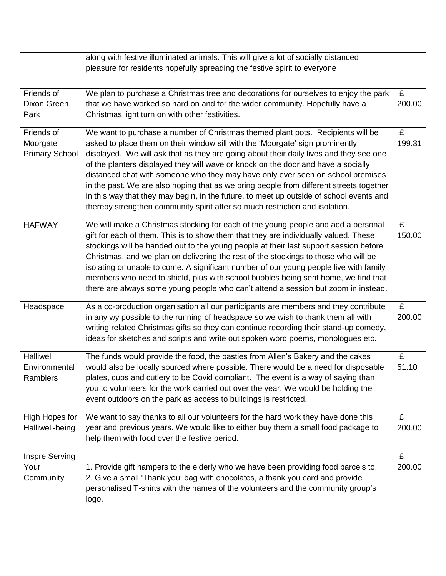|                                                 | along with festive illuminated animals. This will give a lot of socially distanced                                                                                                                                                                                                                                                                                                                                                                                                                                                                                                                                                                                                                       |             |
|-------------------------------------------------|----------------------------------------------------------------------------------------------------------------------------------------------------------------------------------------------------------------------------------------------------------------------------------------------------------------------------------------------------------------------------------------------------------------------------------------------------------------------------------------------------------------------------------------------------------------------------------------------------------------------------------------------------------------------------------------------------------|-------------|
|                                                 | pleasure for residents hopefully spreading the festive spirit to everyone                                                                                                                                                                                                                                                                                                                                                                                                                                                                                                                                                                                                                                |             |
| Friends of<br>Dixon Green<br>Park               | We plan to purchase a Christmas tree and decorations for ourselves to enjoy the park<br>that we have worked so hard on and for the wider community. Hopefully have a<br>Christmas light turn on with other festivities.                                                                                                                                                                                                                                                                                                                                                                                                                                                                                  | £<br>200.00 |
| Friends of<br>Moorgate<br><b>Primary School</b> | We want to purchase a number of Christmas themed plant pots. Recipients will be<br>asked to place them on their window sill with the 'Moorgate' sign prominently<br>displayed. We will ask that as they are going about their daily lives and they see one<br>of the planters displayed they will wave or knock on the door and have a socially<br>distanced chat with someone who they may have only ever seen on school premises<br>in the past. We are also hoping that as we bring people from different streets together<br>in this way that they may begin, in the future, to meet up outside of school events and<br>thereby strengthen community spirit after so much restriction and isolation. | £<br>199.31 |
| <b>HAFWAY</b>                                   | We will make a Christmas stocking for each of the young people and add a personal<br>gift for each of them. This is to show them that they are individually valued. These<br>stockings will be handed out to the young people at their last support session before<br>Christmas, and we plan on delivering the rest of the stockings to those who will be<br>isolating or unable to come. A significant number of our young people live with family<br>members who need to shield, plus with school bubbles being sent home, we find that<br>there are always some young people who can't attend a session but zoom in instead.                                                                          | £<br>150.00 |
| Headspace                                       | As a co-production organisation all our participants are members and they contribute<br>in any wy possible to the running of headspace so we wish to thank them all with<br>writing related Christmas gifts so they can continue recording their stand-up comedy,<br>ideas for sketches and scripts and write out spoken word poems, monologues etc.                                                                                                                                                                                                                                                                                                                                                     | £<br>200.00 |
| <b>Halliwell</b><br>Environmental<br>Ramblers   | The funds would provide the food, the pasties from Allen's Bakery and the cakes<br>would also be locally sourced where possible. There would be a need for disposable<br>plates, cups and cutlery to be Covid compliant. The event is a way of saying than<br>you to volunteers for the work carried out over the year. We would be holding the<br>event outdoors on the park as access to buildings is restricted.                                                                                                                                                                                                                                                                                      | £<br>51.10  |
| High Hopes for<br>Halliwell-being               | We want to say thanks to all our volunteers for the hard work they have done this<br>year and previous years. We would like to either buy them a small food package to<br>help them with food over the festive period.                                                                                                                                                                                                                                                                                                                                                                                                                                                                                   | £<br>200.00 |
| Inspre Serving<br>Your<br>Community             | 1. Provide gift hampers to the elderly who we have been providing food parcels to.<br>2. Give a small 'Thank you' bag with chocolates, a thank you card and provide<br>personalised T-shirts with the names of the volunteers and the community group's<br>logo.                                                                                                                                                                                                                                                                                                                                                                                                                                         | £<br>200.00 |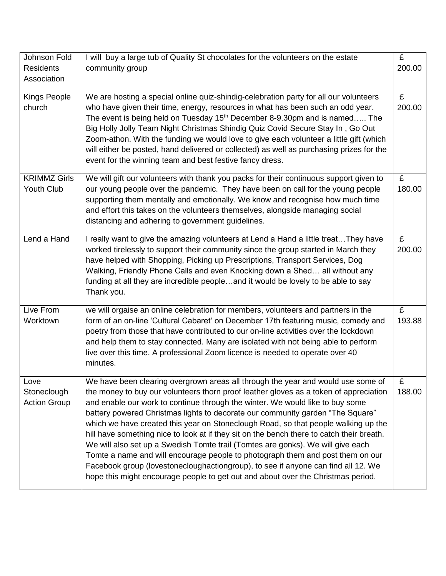| Johnson Fold<br><b>Residents</b><br>Association | I will buy a large tub of Quality St chocolates for the volunteers on the estate<br>community group                                                                                                                                                                                                                                                                                                                                                                                                                                                                                                                                                                                                                                                                                                                                                                           | £<br>200.00 |
|-------------------------------------------------|-------------------------------------------------------------------------------------------------------------------------------------------------------------------------------------------------------------------------------------------------------------------------------------------------------------------------------------------------------------------------------------------------------------------------------------------------------------------------------------------------------------------------------------------------------------------------------------------------------------------------------------------------------------------------------------------------------------------------------------------------------------------------------------------------------------------------------------------------------------------------------|-------------|
| <b>Kings People</b><br>church                   | We are hosting a special online quiz-shindig-celebration party for all our volunteers<br>who have given their time, energy, resources in what has been such an odd year.<br>The event is being held on Tuesday 15 <sup>th</sup> December 8-9.30pm and is named The<br>Big Holly Jolly Team Night Christmas Shindig Quiz Covid Secure Stay In, Go Out<br>Zoom-athon. With the funding we would love to give each volunteer a little gift (which<br>will either be posted, hand delivered or collected) as well as purchasing prizes for the<br>event for the winning team and best festive fancy dress.                                                                                                                                                                                                                                                                        | £<br>200.00 |
| <b>KRIMMZ Girls</b><br>Youth Club               | We will gift our volunteers with thank you packs for their continuous support given to<br>our young people over the pandemic. They have been on call for the young people<br>supporting them mentally and emotionally. We know and recognise how much time<br>and effort this takes on the volunteers themselves, alongside managing social<br>distancing and adhering to government guidelines.                                                                                                                                                                                                                                                                                                                                                                                                                                                                              | £<br>180.00 |
| Lend a Hand                                     | I really want to give the amazing volunteers at Lend a Hand a little treat They have<br>worked tirelessly to support their community since the group started in March they<br>have helped with Shopping, Picking up Prescriptions, Transport Services, Dog<br>Walking, Friendly Phone Calls and even Knocking down a Shed all without any<br>funding at all they are incredible peopleand it would be lovely to be able to say<br>Thank you.                                                                                                                                                                                                                                                                                                                                                                                                                                  | £<br>200.00 |
| Live From<br>Worktown                           | we will orgaise an online celebration for members, volunteers and partners in the<br>form of an on-line 'Cultural Cabaret' on December 17th featuring music, comedy and<br>poetry from those that have contributed to our on-line activities over the lockdown<br>and help them to stay connected. Many are isolated with not being able to perform<br>live over this time. A professional Zoom licence is needed to operate over 40<br>minutes.                                                                                                                                                                                                                                                                                                                                                                                                                              | £<br>193.88 |
| Love<br>Stoneclough<br><b>Action Group</b>      | We have been clearing overgrown areas all through the year and would use some of<br>the money to buy our volunteers thorn proof leather gloves as a token of appreciation<br>and enable our work to continue through the winter. We would like to buy some<br>battery powered Christmas lights to decorate our community garden "The Square"<br>which we have created this year on Stoneclough Road, so that people walking up the<br>hill have something nice to look at if they sit on the bench there to catch their breath.<br>We will also set up a Swedish Tomte trail (Tomtes are gonks). We will give each<br>Tomte a name and will encourage people to photograph them and post them on our<br>Facebook group (lovestonecloughactiongroup), to see if anyone can find all 12. We<br>hope this might encourage people to get out and about over the Christmas period. | £<br>188.00 |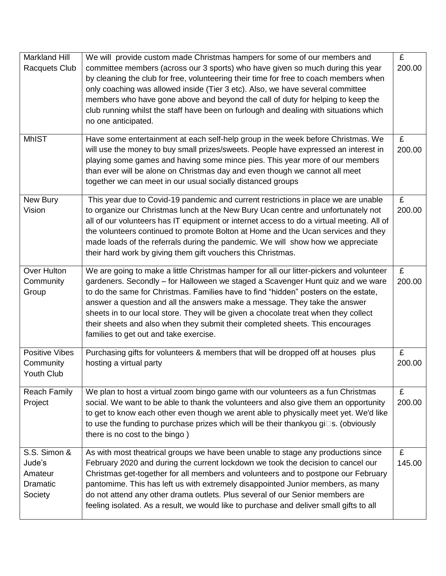| <b>Markland Hill</b><br>Racquets Club<br><b>MhIST</b>    | We will provide custom made Christmas hampers for some of our members and<br>committee members (across our 3 sports) who have given so much during this year<br>by cleaning the club for free, volunteering their time for free to coach members when<br>only coaching was allowed inside (Tier 3 etc). Also, we have several committee<br>members who have gone above and beyond the call of duty for helping to keep the<br>club running whilst the staff have been on furlough and dealing with situations which<br>no one anticipated.<br>Have some entertainment at each self-help group in the week before Christmas. We<br>will use the money to buy small prizes/sweets. People have expressed an interest in<br>playing some games and having some mince pies. This year more of our members<br>than ever will be alone on Christmas day and even though we cannot all meet<br>together we can meet in our usual socially distanced groups | £<br>200.00<br>£<br>200.00 |
|----------------------------------------------------------|-----------------------------------------------------------------------------------------------------------------------------------------------------------------------------------------------------------------------------------------------------------------------------------------------------------------------------------------------------------------------------------------------------------------------------------------------------------------------------------------------------------------------------------------------------------------------------------------------------------------------------------------------------------------------------------------------------------------------------------------------------------------------------------------------------------------------------------------------------------------------------------------------------------------------------------------------------|----------------------------|
| New Bury<br>Vision                                       | This year due to Covid-19 pandemic and current restrictions in place we are unable<br>to organize our Christmas lunch at the New Bury Ucan centre and unfortunately not<br>all of our volunteers has IT equipment or internet access to do a virtual meeting. All of<br>the volunteers continued to promote Bolton at Home and the Ucan services and they<br>made loads of the referrals during the pandemic. We will show how we appreciate<br>their hard work by giving them gift vouchers this Christmas.                                                                                                                                                                                                                                                                                                                                                                                                                                        | £<br>200.00                |
| Over Hulton<br>Community<br>Group                        | We are going to make a little Christmas hamper for all our litter-pickers and volunteer<br>gardeners. Secondly - for Halloween we staged a Scavenger Hunt quiz and we ware<br>to do the same for Christmas. Families have to find "hidden" posters on the estate,<br>answer a question and all the answers make a message. They take the answer<br>sheets in to our local store. They will be given a chocolate treat when they collect<br>their sheets and also when they submit their completed sheets. This encourages<br>families to get out and take exercise.                                                                                                                                                                                                                                                                                                                                                                                 | £<br>200.00                |
| <b>Positive Vibes</b><br>Community<br>Youth Club         | Purchasing gifts for volunteers & members that will be dropped off at houses plus<br>hosting a virtual party                                                                                                                                                                                                                                                                                                                                                                                                                                                                                                                                                                                                                                                                                                                                                                                                                                        | £<br>200.00                |
| <b>Reach Family</b><br>Project                           | We plan to host a virtual zoom bingo game with our volunteers as a fun Christmas<br>social. We want to be able to thank the volunteers and also give them an opportunity<br>to get to know each other even though we arent able to physically meet yet. We'd like<br>to use the funding to purchase prizes which will be their thankyou gi□s. (obviously<br>there is no cost to the bingo)                                                                                                                                                                                                                                                                                                                                                                                                                                                                                                                                                          | £<br>200.00                |
| S.S. Simon &<br>Jude's<br>Amateur<br>Dramatic<br>Society | As with most theatrical groups we have been unable to stage any productions since<br>February 2020 and during the current lockdown we took the decision to cancel our<br>Christmas get-together for all members and volunteers and to postpone our February<br>pantomime. This has left us with extremely disappointed Junior members, as many<br>do not attend any other drama outlets. Plus several of our Senior members are<br>feeling isolated. As a result, we would like to purchase and deliver small gifts to all                                                                                                                                                                                                                                                                                                                                                                                                                          | £<br>145.00                |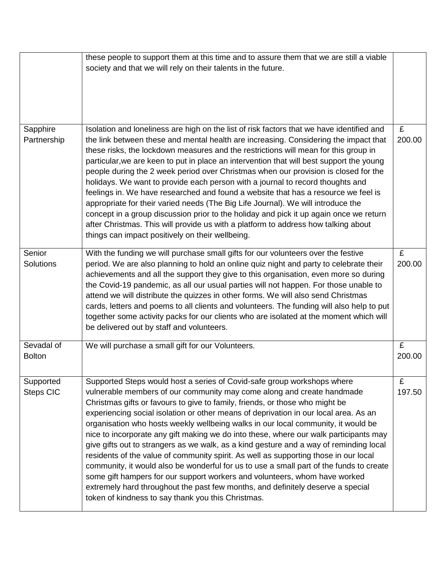|                               | these people to support them at this time and to assure them that we are still a viable<br>society and that we will rely on their talents in the future.                                                                                                                                                                                                                                                                                                                                                                                                                                                                                                                                                                                                                                                                                                                                                                                                                                                    |             |
|-------------------------------|-------------------------------------------------------------------------------------------------------------------------------------------------------------------------------------------------------------------------------------------------------------------------------------------------------------------------------------------------------------------------------------------------------------------------------------------------------------------------------------------------------------------------------------------------------------------------------------------------------------------------------------------------------------------------------------------------------------------------------------------------------------------------------------------------------------------------------------------------------------------------------------------------------------------------------------------------------------------------------------------------------------|-------------|
| Sapphire<br>Partnership       | Isolation and loneliness are high on the list of risk factors that we have identified and<br>the link between these and mental health are increasing. Considering the impact that<br>these risks, the lockdown measures and the restrictions will mean for this group in<br>particular, we are keen to put in place an intervention that will best support the young<br>people during the 2 week period over Christmas when our provision is closed for the<br>holidays. We want to provide each person with a journal to record thoughts and<br>feelings in. We have researched and found a website that has a resource we feel is<br>appropriate for their varied needs (The Big Life Journal). We will introduce the<br>concept in a group discussion prior to the holiday and pick it up again once we return<br>after Christmas. This will provide us with a platform to address how talking about<br>things can impact positively on their wellbeing.                                                 | £<br>200.00 |
| Senior<br>Solutions           | With the funding we will purchase small gifts for our volunteers over the festive<br>period. We are also planning to hold an online quiz night and party to celebrate their<br>achievements and all the support they give to this organisation, even more so during<br>the Covid-19 pandemic, as all our usual parties will not happen. For those unable to<br>attend we will distribute the quizzes in other forms. We will also send Christmas<br>cards, letters and poems to all clients and volunteers. The funding will also help to put<br>together some activity packs for our clients who are isolated at the moment which will<br>be delivered out by staff and volunteers.                                                                                                                                                                                                                                                                                                                        | £<br>200.00 |
| Sevadal of<br><b>Bolton</b>   | We will purchase a small gift for our Volunteers.                                                                                                                                                                                                                                                                                                                                                                                                                                                                                                                                                                                                                                                                                                                                                                                                                                                                                                                                                           | £<br>200.00 |
| Supported<br><b>Steps CIC</b> | Supported Steps would host a series of Covid-safe group workshops where<br>vulnerable members of our community may come along and create handmade<br>Christmas gifts or favours to give to family, friends, or those who might be<br>experiencing social isolation or other means of deprivation in our local area. As an<br>organisation who hosts weekly wellbeing walks in our local community, it would be<br>nice to incorporate any gift making we do into these, where our walk participants may<br>give gifts out to strangers as we walk, as a kind gesture and a way of reminding local<br>residents of the value of community spirit. As well as supporting those in our local<br>community, it would also be wonderful for us to use a small part of the funds to create<br>some gift hampers for our support workers and volunteers, whom have worked<br>extremely hard throughout the past few months, and definitely deserve a special<br>token of kindness to say thank you this Christmas. | £<br>197.50 |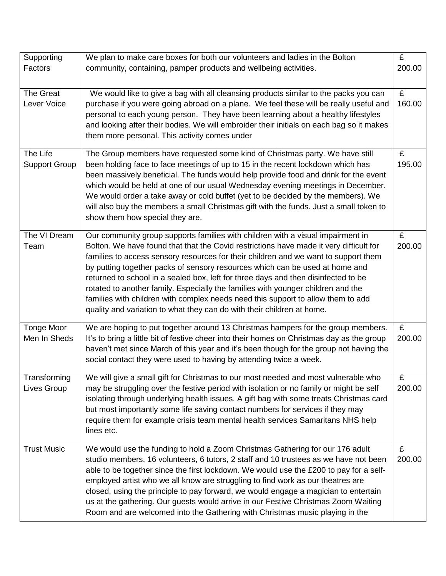| Supporting                        | We plan to make care boxes for both our volunteers and ladies in the Bolton                                                                                                                                                                                                                                                                                                                                                                                                                                                                                                                                                                                                              | £           |
|-----------------------------------|------------------------------------------------------------------------------------------------------------------------------------------------------------------------------------------------------------------------------------------------------------------------------------------------------------------------------------------------------------------------------------------------------------------------------------------------------------------------------------------------------------------------------------------------------------------------------------------------------------------------------------------------------------------------------------------|-------------|
| Factors                           | community, containing, pamper products and wellbeing activities.                                                                                                                                                                                                                                                                                                                                                                                                                                                                                                                                                                                                                         | 200.00      |
| The Great<br>Lever Voice          | We would like to give a bag with all cleansing products similar to the packs you can<br>purchase if you were going abroad on a plane. We feel these will be really useful and<br>personal to each young person. They have been learning about a healthy lifestyles<br>and looking after their bodies. We will embroider their initials on each bag so it makes<br>them more personal. This activity comes under                                                                                                                                                                                                                                                                          | £<br>160.00 |
| The Life<br><b>Support Group</b>  | The Group members have requested some kind of Christmas party. We have still<br>been holding face to face meetings of up to 15 in the recent lockdown which has<br>been massively beneficial. The funds would help provide food and drink for the event<br>which would be held at one of our usual Wednesday evening meetings in December.<br>We would order a take away or cold buffet (yet to be decided by the members). We<br>will also buy the members a small Christmas gift with the funds. Just a small token to<br>show them how special they are.                                                                                                                              | £<br>195.00 |
| The VI Dream<br>Team              | Our community group supports families with children with a visual impairment in<br>Bolton. We have found that that the Covid restrictions have made it very difficult for<br>families to access sensory resources for their children and we want to support them<br>by putting together packs of sensory resources which can be used at home and<br>returned to school in a sealed box, left for three days and then disinfected to be<br>rotated to another family. Especially the families with younger children and the<br>families with children with complex needs need this support to allow them to add<br>quality and variation to what they can do with their children at home. | £<br>200.00 |
| <b>Tonge Moor</b><br>Men In Sheds | We are hoping to put together around 13 Christmas hampers for the group members.<br>It's to bring a little bit of festive cheer into their homes on Christmas day as the group<br>haven't met since March of this year and it's been though for the group not having the<br>social contact they were used to having by attending twice a week.                                                                                                                                                                                                                                                                                                                                           | £<br>200.00 |
| Transforming<br>Lives Group       | We will give a small gift for Christmas to our most needed and most vulnerable who<br>may be struggling over the festive period with isolation or no family or might be self<br>isolating through underlying health issues. A gift bag with some treats Christmas card<br>but most importantly some life saving contact numbers for services if they may<br>require them for example crisis team mental health services Samaritans NHS help<br>lines etc.                                                                                                                                                                                                                                | £<br>200.00 |
| <b>Trust Music</b>                | We would use the funding to hold a Zoom Christmas Gathering for our 176 adult<br>studio members, 16 volunteers, 6 tutors, 2 staff and 10 trustees as we have not been<br>able to be together since the first lockdown. We would use the £200 to pay for a self-<br>employed artist who we all know are struggling to find work as our theatres are<br>closed, using the principle to pay forward, we would engage a magician to entertain<br>us at the gathering. Our guests would arrive in our Festive Christmas Zoom Waiting<br>Room and are welcomed into the Gathering with Christmas music playing in the                                                                          | £<br>200.00 |